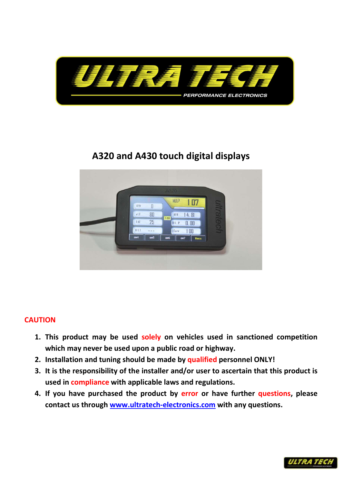

## A320 and A430 touch digital displays



#### **CAUTION**

- 1. This product may be used solely on vehicles used in sanctioned competition which may never be used upon a public road or highway.
- 2. Installation and tuning should be made by qualified personnel ONLY!
- 3. It is the responsibility of the installer and/or user to ascertain that this product is used in compliance with applicable laws and regulations.
- 4. If you have purchased the product by error or have further questions, please contact us through www.ultratech-electronics.com with any questions.

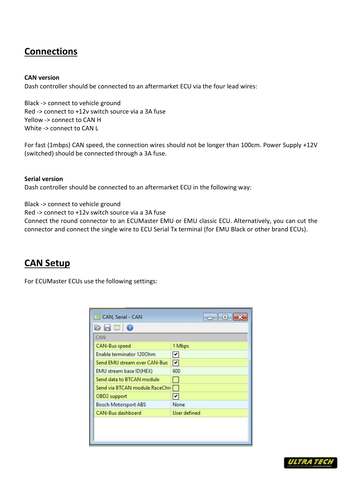### Connections

#### CAN version

Dash controller should be connected to an aftermarket ECU via the four lead wires:

Black -> connect to vehicle ground Red -> connect to +12v switch source via a 3A fuse Yellow -> connect to CAN H White -> connect to CAN L

For fast (1mbps) CAN speed, the connection wires should not be longer than 100cm. Power Supply +12V (switched) should be connected through a 3A fuse.

Serial version Dash controller should be connected to an aftermarket ECU in the following way:

Black -> connect to vehicle ground

Red -> connect to +12v switch source via a 3A fuse

Connect the round connector to an ECUMaster EMU or EMU classic ECU. Alternatively, you can cut the connector and connect the single wire to ECU Serial Tx terminal (for EMU Black or other brand ECUs).

### CAN Setup

For ECUMaster ECUs use the following settings:

| CAN                            |              |
|--------------------------------|--------------|
| CAN-Bus speed                  | 1 Mbps       |
| Enable terminator 1200hm       | M            |
| Send EMU stream over CAN-Bus   | 罓            |
| EMU stream base ID(HEX)        | 600          |
| Send data to BTCAN module      | m i          |
| Send via BTCAN module RaceChri |              |
| OBD2 support                   | V            |
| <b>Bosch Motorsport ABS</b>    | None         |
| CAN-Bus dashboard              | User defined |

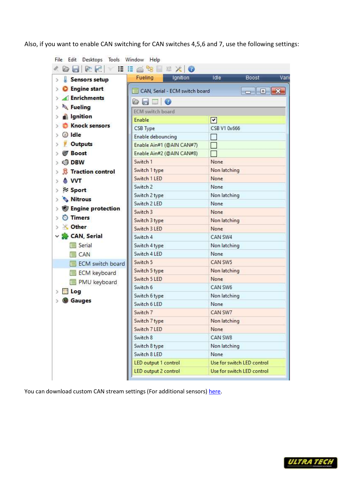Also, if you want to enable CAN switching for CAN switches 4,5,6 and 7, use the following settings:

| Sensors setup<br>ž.          | <b>Fueling</b><br>Ignition     | Idle<br>Vari<br>Boost                                                                                                                                                                                                                                                                                                                                                                                                                                       |  |  |
|------------------------------|--------------------------------|-------------------------------------------------------------------------------------------------------------------------------------------------------------------------------------------------------------------------------------------------------------------------------------------------------------------------------------------------------------------------------------------------------------------------------------------------------------|--|--|
| C Engine start<br>$\geq$     | CAN, Serial - ECM switch board | $\begin{array}{c c c c c} \hline \multicolumn{1}{c }{\mathbf{0}} & \multicolumn{1}{c }{\mathbf{0}} & \multicolumn{1}{c }{\mathbf{0}} \\\hline \multicolumn{1}{c }{\mathbf{0}} & \multicolumn{1}{c }{\mathbf{0}} & \multicolumn{1}{c }{\mathbf{0}} \\\hline \multicolumn{1}{c }{\mathbf{0}} & \multicolumn{1}{c }{\mathbf{0}} & \multicolumn{1}{c }{\mathbf{0}} \\\hline \multicolumn{1}{c }{\mathbf{0}} & \multicolumn{1}{c }{\mathbf{0}} & \multicolumn{1$ |  |  |
| Enrichments<br>$\rightarrow$ | $\circ$ . $\circ$              |                                                                                                                                                                                                                                                                                                                                                                                                                                                             |  |  |
| Fueling<br>s                 | <b>ECM</b> switch board        |                                                                                                                                                                                                                                                                                                                                                                                                                                                             |  |  |
| s Ignition<br>ž.             | Enable                         | 罓                                                                                                                                                                                                                                                                                                                                                                                                                                                           |  |  |
| <b>Knock sensors</b><br>У    | CSB Type                       | CSB V1 0x666                                                                                                                                                                                                                                                                                                                                                                                                                                                |  |  |
| dle                          | Enable debouncing              |                                                                                                                                                                                                                                                                                                                                                                                                                                                             |  |  |
| <b>Outputs</b>               | Enable Ain#1 (@AIN CAN#7)      |                                                                                                                                                                                                                                                                                                                                                                                                                                                             |  |  |
| <b>Boost</b>                 | Enable Ain#2 (@AIN CAN#8)      |                                                                                                                                                                                                                                                                                                                                                                                                                                                             |  |  |
| <b>DBW</b><br>$\rightarrow$  | Switch 1                       | None                                                                                                                                                                                                                                                                                                                                                                                                                                                        |  |  |
| <b>B</b> Traction control    | Switch 1 type                  | Non latching                                                                                                                                                                                                                                                                                                                                                                                                                                                |  |  |
|                              | Switch 1 LED                   | None                                                                                                                                                                                                                                                                                                                                                                                                                                                        |  |  |
| <b>NVT</b>                   | Switch 2                       | None                                                                                                                                                                                                                                                                                                                                                                                                                                                        |  |  |
| <b>Sport</b>                 | Switch 2 type                  | Non latching                                                                                                                                                                                                                                                                                                                                                                                                                                                |  |  |
| <b>Nitrous</b>               | Switch 2 LED                   | None                                                                                                                                                                                                                                                                                                                                                                                                                                                        |  |  |
| <b>Engine protection</b>     | Switch 3                       | None                                                                                                                                                                                                                                                                                                                                                                                                                                                        |  |  |
| <b>O</b> Timers              | Switch 3 type                  | Non latching                                                                                                                                                                                                                                                                                                                                                                                                                                                |  |  |
| <b>X</b> Other               | Switch 3 LED                   | None                                                                                                                                                                                                                                                                                                                                                                                                                                                        |  |  |
| ∨ CAN, Serial                | Switch 4                       | CAN SW4                                                                                                                                                                                                                                                                                                                                                                                                                                                     |  |  |
| Serial                       | Switch 4 type                  | Non latching                                                                                                                                                                                                                                                                                                                                                                                                                                                |  |  |
| <b>E</b> CAN                 | Switch 4 LED                   | None                                                                                                                                                                                                                                                                                                                                                                                                                                                        |  |  |
| <b>ECM</b> switch board      | Switch 5                       | CAN SW5                                                                                                                                                                                                                                                                                                                                                                                                                                                     |  |  |
| ECM keyboard                 | Switch 5 type                  | Non latching                                                                                                                                                                                                                                                                                                                                                                                                                                                |  |  |
| PMU keyboard                 | Switch 5 LED                   | None                                                                                                                                                                                                                                                                                                                                                                                                                                                        |  |  |
| <b>Log</b>                   | Switch 6                       | CAN SW6                                                                                                                                                                                                                                                                                                                                                                                                                                                     |  |  |
|                              | Switch 6 type                  | Non latching                                                                                                                                                                                                                                                                                                                                                                                                                                                |  |  |
| <b>Gauges</b>                | Switch 6 LED                   | None                                                                                                                                                                                                                                                                                                                                                                                                                                                        |  |  |
|                              | Switch 7                       | CAN SW7                                                                                                                                                                                                                                                                                                                                                                                                                                                     |  |  |
|                              | Switch 7 type                  | Non latching                                                                                                                                                                                                                                                                                                                                                                                                                                                |  |  |
|                              | Switch 7 LED                   | None                                                                                                                                                                                                                                                                                                                                                                                                                                                        |  |  |
|                              | Switch 8                       | CAN SW8                                                                                                                                                                                                                                                                                                                                                                                                                                                     |  |  |
|                              | Switch 8 type                  | Non latching                                                                                                                                                                                                                                                                                                                                                                                                                                                |  |  |
|                              | Switch 8 LED                   | None                                                                                                                                                                                                                                                                                                                                                                                                                                                        |  |  |
|                              | LED output 1 control           | Use for switch LED control                                                                                                                                                                                                                                                                                                                                                                                                                                  |  |  |
|                              | LED output 2 control           | Use for switch LED control                                                                                                                                                                                                                                                                                                                                                                                                                                  |  |  |

You can download custom CAN stream settings (For additional sensors) here.